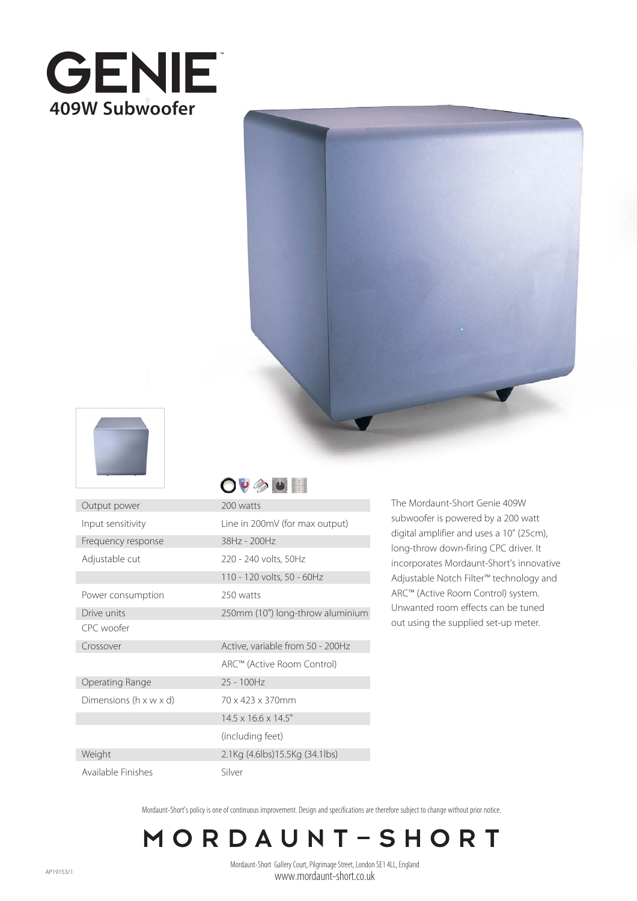





Output power 200 watts Input sensitivity Frequency response Adjustable cut

Available Finishes

## $O\psi \gg \psi$

| --------                             |                                  |
|--------------------------------------|----------------------------------|
| Input sensitivity                    | Line in 200mV (for max output)   |
| Frequency response                   | 38Hz - 200Hz                     |
| Adjustable cut                       | 220 - 240 volts, 50Hz            |
|                                      | 110 - 120 volts, 50 - 60Hz       |
| Power consumption                    | 250 watts                        |
| Drive units                          | 250mm (10") long-throw aluminium |
| CPC woofer                           |                                  |
| Crossover                            | Active, variable from 50 - 200Hz |
|                                      | ARC™ (Active Room Control)       |
| Operating Range                      | 25 - 100Hz                       |
| Dimensions ( $h \times w \times d$ ) | 70 x 423 x 370mm                 |
|                                      | $14.5 \times 16.6 \times 14.5$ " |
|                                      | (including feet)                 |
| Weight                               | 2.1Kg (4.6lbs)15.5Kg (34.1lbs)   |
| Available Finishes                   | Silver                           |

The Mordaunt-Short Genie 409W subwoofer is powered by a 200 watt digital amplifier and uses a 10" (25cm), long-throw down-firing CPC driver. It incorporates Mordaunt-Short's innovative Adjustable Notch Filter™ technology and ARC™ (Active Room Control) system. Unwanted room effects can be tuned out using the supplied set-up meter.

Mordaunt-Short's policy is one of continuous improvement. Design and specifications are therefore subject to change without prior notice.

## MORDAUNT-SHORT